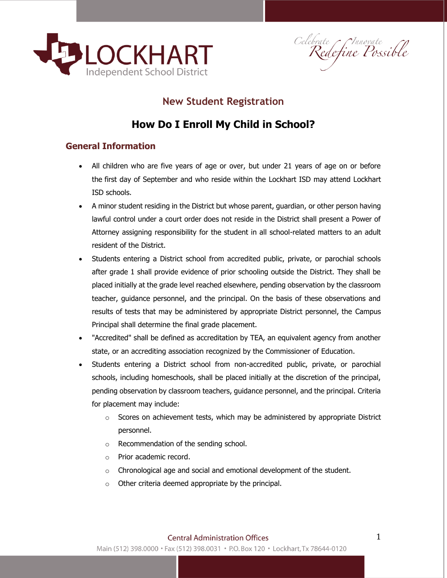

Celebrate Connovate<br>Redefine Possible

#### **New Student Registration**

## **How Do I Enroll My Child in School?**

#### **General Information**

- All children who are five years of age or over, but under 21 years of age on or before the first day of September and who reside within the Lockhart ISD may attend Lockhart ISD schools.
- A minor student residing in the District but whose parent, guardian, or other person having lawful control under a court order does not reside in the District shall present a Power of Attorney assigning responsibility for the student in all school-related matters to an adult resident of the District.
- Students entering a District school from accredited public, private, or parochial schools after grade 1 shall provide evidence of prior schooling outside the District. They shall be placed initially at the grade level reached elsewhere, pending observation by the classroom teacher, guidance personnel, and the principal. On the basis of these observations and results of tests that may be administered by appropriate District personnel, the Campus Principal shall determine the final grade placement.
- "Accredited" shall be defined as accreditation by TEA, an equivalent agency from another state, or an accrediting association recognized by the Commissioner of Education.
- Students entering a District school from non-accredited public, private, or parochial schools, including homeschools, shall be placed initially at the discretion of the principal, pending observation by classroom teachers, guidance personnel, and the principal. Criteria for placement may include:
	- $\circ$  Scores on achievement tests, which may be administered by appropriate District personnel.
	- o Recommendation of the sending school.
	- o Prior academic record.
	- o Chronological age and social and emotional development of the student.
	- o Other criteria deemed appropriate by the principal.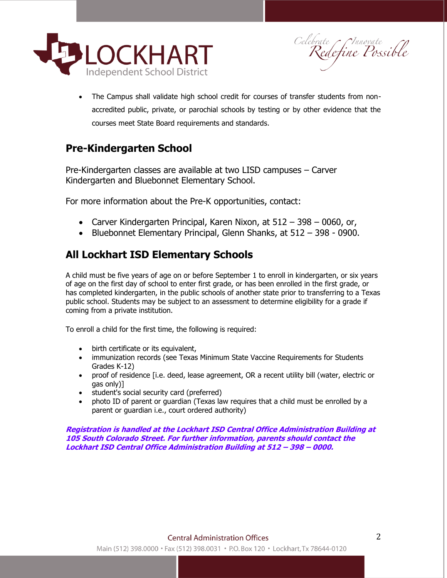

Celebrate Chnovate<br>Redefine Possible

• The Campus shall validate high school credit for courses of transfer students from nonaccredited public, private, or parochial schools by testing or by other evidence that the courses meet State Board requirements and standards.

#### **Pre-Kindergarten School**

Pre-Kindergarten classes are available at two LISD campuses – Carver Kindergarten and Bluebonnet Elementary School.

For more information about the Pre-K opportunities, contact:

- Carver Kindergarten Principal, Karen Nixon, at  $512 398 0060$ , or,
- Bluebonnet Elementary Principal, Glenn Shanks, at 512 398 0900.

### **All Lockhart ISD Elementary Schools**

A child must be five years of age on or before September 1 to enroll in kindergarten, or six years of age on the first day of school to enter first grade, or has been enrolled in the first grade, or has completed kindergarten, in the public schools of another state prior to transferring to a Texas public school. Students may be subject to an assessment to determine eligibility for a grade if coming from a private institution.

To enroll a child for the first time, the following is required:

- birth certificate or its equivalent,
- immunization records (see Texas Minimum State Vaccine Requirements for Students Grades K-12)
- proof of residence [i.e. deed, lease agreement, OR a recent utility bill (water, electric or gas only)]
- student's social security card (preferred)
- photo ID of parent or guardian (Texas law requires that a child must be enrolled by a parent or guardian i.e., court ordered authority)

**Registration is handled at the Lockhart ISD Central Office Administration Building at 105 South Colorado Street. For further information, parents should contact the Lockhart ISD Central Office Administration Building at 512 – 398 – 0000.**